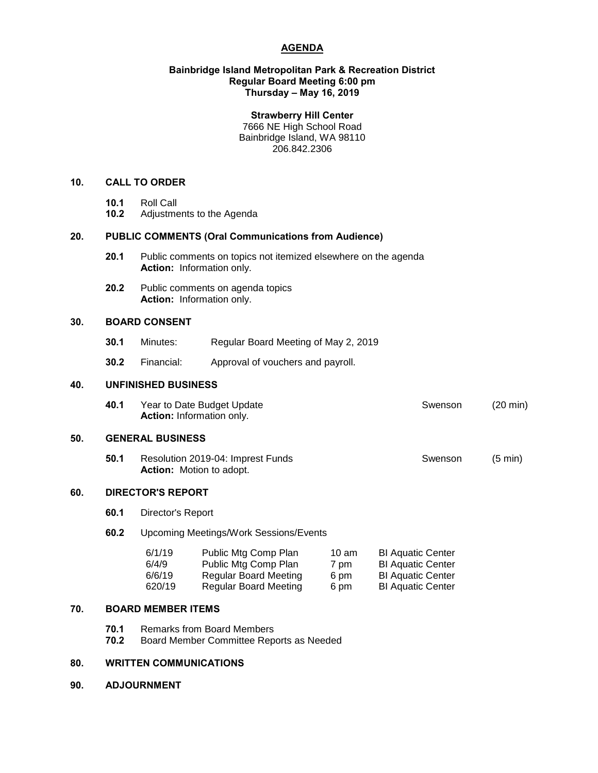# **AGENDA**

### **Bainbridge Island Metropolitan Park & Recreation District Regular Board Meeting 6:00 pm Thursday – May 16, 2019**

#### **Strawberry Hill Center**

7666 NE High School Road Bainbridge Island, WA 98110 206.842.2306

## **10. CALL TO ORDER**

- 
- **10.1** Roll Call **10.2** Adjustments to the Agenda

# **20. PUBLIC COMMENTS (Oral Communications from Audience)**

- **20.1** Public comments on topics not itemized elsewhere on the agenda **Action:** Information only.
- **20.2** Public comments on agenda topics **Action:** Information only.

## **30. BOARD CONSENT**

- **30.1** Minutes: Regular Board Meeting of May 2, 2019
- **30.2** Financial: Approval of vouchers and payroll.

#### **40. UNFINISHED BUSINESS**

| 40.1 | Year to Date Budget Update       | Swenson | $(20 \text{ min})$ |
|------|----------------------------------|---------|--------------------|
|      | <b>Action:</b> Information only. |         |                    |

#### **50. GENERAL BUSINESS**

**50.1** Resolution 2019-04: Imprest Funds Swenson (5 min) **Action:** Motion to adopt.

#### **60. DIRECTOR'S REPORT**

**60.1** Director's Report

## **60.2** Upcoming Meetings/Work Sessions/Events

| 6/1/19 | Public Mtg Comp Plan         | $10 \text{ am}$ | <b>BI Aquatic Center</b> |
|--------|------------------------------|-----------------|--------------------------|
| 6/4/9  | Public Mtg Comp Plan         | 7 pm            | <b>BI Aquatic Center</b> |
| 6/6/19 | <b>Regular Board Meeting</b> | 6 pm            | <b>BI Aquatic Center</b> |
| 620/19 | Regular Board Meeting        | 6 pm            | <b>BI Aquatic Center</b> |

## **70. BOARD MEMBER ITEMS**

- **70.1** Remarks from Board Members
- **70.2** Board Member Committee Reports as Needed

## **80. WRITTEN COMMUNICATIONS**

**90. ADJOURNMENT**